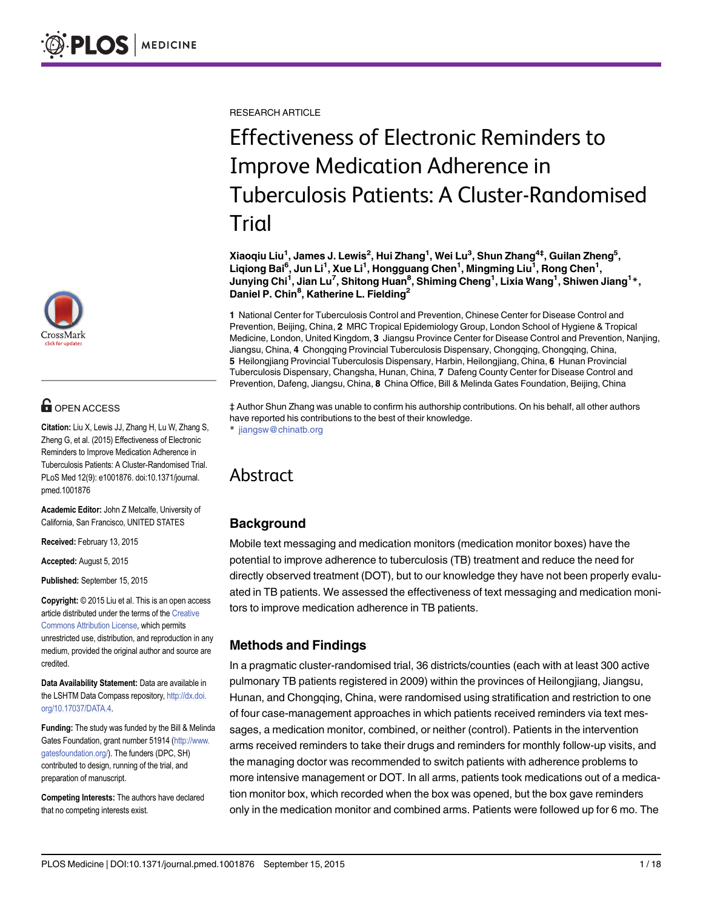

# **OPEN ACCESS**

Citation: Liu X, Lewis JJ, Zhang H, Lu W, Zhang S, Zheng G, et al. (2015) Effectiveness of Electronic Reminders to Improve Medication Adherence in Tuberculosis Patients: A Cluster-Randomised Trial. PLoS Med 12(9): e1001876. doi:10.1371/journal. pmed.1001876

Academic Editor: John Z Metcalfe, University of California, San Francisco, UNITED STATES

Received: February 13, 2015

Accepted: August 5, 2015

Published: September 15, 2015

Copyright: © 2015 Liu et al. This is an open access article distributed under the terms of the [Creative](http://creativecommons.org/licenses/by/4.0/) [Commons Attribution License](http://creativecommons.org/licenses/by/4.0/), which permits unrestricted use, distribution, and reproduction in any medium, provided the original author and source are credited.

Data Availability Statement: Data are available in the LSHTM Data Compass repository, [http://dx.doi.](http://dx.doi.org/10.17037/DATA.4) [org/10.17037/DATA.4.](http://dx.doi.org/10.17037/DATA.4)

Funding: The study was funded by the Bill & Melinda Gates Foundation, grant number 51914 ([http://www.](http://www.gatesfoundation.org/) [gatesfoundation.org/\)](http://www.gatesfoundation.org/). The funders (DPC, SH) contributed to design, running of the trial, and preparation of manuscript.

Competing Interests: The authors have declared that no competing interests exist.

RESEARCH ARTICLE

# Effectiveness of Electronic Reminders to Improve Medication Adherence in Tuberculosis Patients: A Cluster-Randomised **Trial**

Xiaoqiu Liu<sup>1</sup>, James J. Lewis<sup>2</sup>, Hui Zhang<sup>1</sup>, Wei Lu<sup>3</sup>, Shun Zhang<sup>4‡</sup>, Guilan Zheng<sup>5</sup>, Liqiong Bai<sup>6</sup>, Jun Li<sup>1</sup>, Xue Li<sup>1</sup>, Hongguang Chen<sup>1</sup>, Mingming Liu<sup>1</sup>, Rong Chen<sup>1</sup>, Junying Chi<sup>1</sup>, Jian Lu<sup>7</sup>, Shitong Huan<sup>8</sup>, Shiming Cheng<sup>1</sup>, Lixia Wang<sup>1</sup>, Shiwen Jiang<sup>1\*</sup>, Daniel P. Chin<sup>8</sup>, Katherine L. Fielding<sup>2</sup>

1 National Center for Tuberculosis Control and Prevention, Chinese Center for Disease Control and Prevention, Beijing, China, 2 MRC Tropical Epidemiology Group, London School of Hygiene & Tropical Medicine, London, United Kingdom, 3 Jiangsu Province Center for Disease Control and Prevention, Nanjing, Jiangsu, China, 4 Chongqing Provincial Tuberculosis Dispensary, Chongqing, Chongqing, China, 5 Heilongjiang Provincial Tuberculosis Dispensary, Harbin, Heilongjiang, China, 6 Hunan Provincial Tuberculosis Dispensary, Changsha, Hunan, China, 7 Dafeng County Center for Disease Control and Prevention, Dafeng, Jiangsu, China, 8 China Office, Bill & Melinda Gates Foundation, Beijing, China

‡ Author Shun Zhang was unable to confirm his authorship contributions. On his behalf, all other authors have reported his contributions to the best of their knowledge. \* jiangsw@chinatb.org

# Abstract

# **Background**

Mobile text messaging and medication monitors (medication monitor boxes) have the potential to improve adherence to tuberculosis (TB) treatment and reduce the need for directly observed treatment (DOT), but to our knowledge they have not been properly evaluated in TB patients. We assessed the effectiveness of text messaging and medication monitors to improve medication adherence in TB patients.

# Methods and Findings

In a pragmatic cluster-randomised trial, 36 districts/counties (each with at least 300 active pulmonary TB patients registered in 2009) within the provinces of Heilongjiang, Jiangsu, Hunan, and Chongqing, China, were randomised using stratification and restriction to one of four case-management approaches in which patients received reminders via text messages, a medication monitor, combined, or neither (control). Patients in the intervention arms received reminders to take their drugs and reminders for monthly follow-up visits, and the managing doctor was recommended to switch patients with adherence problems to more intensive management or DOT. In all arms, patients took medications out of a medication monitor box, which recorded when the box was opened, but the box gave reminders only in the medication monitor and combined arms. Patients were followed up for 6 mo. The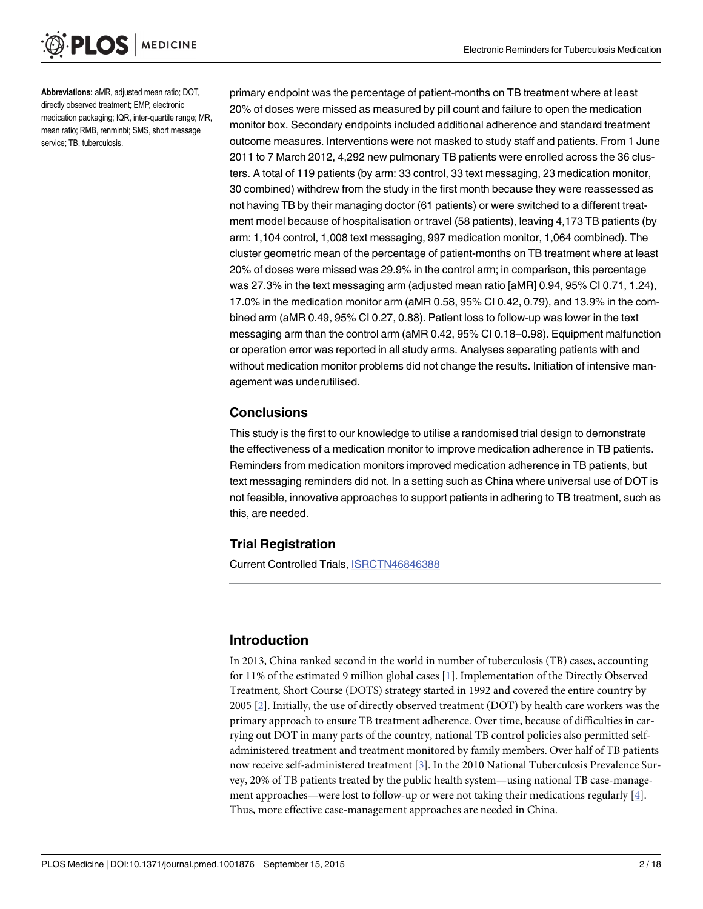<span id="page-1-0"></span>Abbreviations: aMR, adjusted mean ratio; DOT, directly observed treatment; EMP, electronic medication packaging; IQR, inter-quartile range; MR, mean ratio; RMB, renminbi; SMS, short message service; TB, tuberculosis.

primary endpoint was the percentage of patient-months on TB treatment where at least 20% of doses were missed as measured by pill count and failure to open the medication monitor box. Secondary endpoints included additional adherence and standard treatment outcome measures. Interventions were not masked to study staff and patients. From 1 June 2011 to 7 March 2012, 4,292 new pulmonary TB patients were enrolled across the 36 clusters. A total of 119 patients (by arm: 33 control, 33 text messaging, 23 medication monitor, 30 combined) withdrew from the study in the first month because they were reassessed as not having TB by their managing doctor (61 patients) or were switched to a different treatment model because of hospitalisation or travel (58 patients), leaving 4,173 TB patients (by arm: 1,104 control, 1,008 text messaging, 997 medication monitor, 1,064 combined). The cluster geometric mean of the percentage of patient-months on TB treatment where at least 20% of doses were missed was 29.9% in the control arm; in comparison, this percentage was 27.3% in the text messaging arm (adjusted mean ratio [aMR] 0.94, 95% CI 0.71, 1.24), 17.0% in the medication monitor arm (aMR 0.58, 95% CI 0.42, 0.79), and 13.9% in the combined arm (aMR 0.49, 95% CI 0.27, 0.88). Patient loss to follow-up was lower in the text messaging arm than the control arm (aMR 0.42, 95% CI 0.18–0.98). Equipment malfunction or operation error was reported in all study arms. Analyses separating patients with and without medication monitor problems did not change the results. Initiation of intensive management was underutilised.

#### **Conclusions**

This study is the first to our knowledge to utilise a randomised trial design to demonstrate the effectiveness of a medication monitor to improve medication adherence in TB patients. Reminders from medication monitors improved medication adherence in TB patients, but text messaging reminders did not. In a setting such as China where universal use of DOT is not feasible, innovative approaches to support patients in adhering to TB treatment, such as this, are needed.

#### Trial Registration

Current Controlled Trials, [ISRCTN46846388](http://www.isrctn.com/ISRCTN46846388)

# Introduction

In 2013, China ranked second in the world in number of tuberculosis (TB) cases, accounting for 11% of the estimated 9 million global cases [\[1](#page-14-0)]. Implementation of the Directly Observed Treatment, Short Course (DOTS) strategy started in 1992 and covered the entire country by 2005 [[2\]](#page-14-0). Initially, the use of directly observed treatment (DOT) by health care workers was the primary approach to ensure TB treatment adherence. Over time, because of difficulties in carrying out DOT in many parts of the country, national TB control policies also permitted selfadministered treatment and treatment monitored by family members. Over half of TB patients now receive self-administered treatment [[3](#page-14-0)]. In the 2010 National Tuberculosis Prevalence Survey, 20% of TB patients treated by the public health system—using national TB case-management approaches—were lost to follow-up or were not taking their medications regularly  $[4]$  $[4]$ . Thus, more effective case-management approaches are needed in China.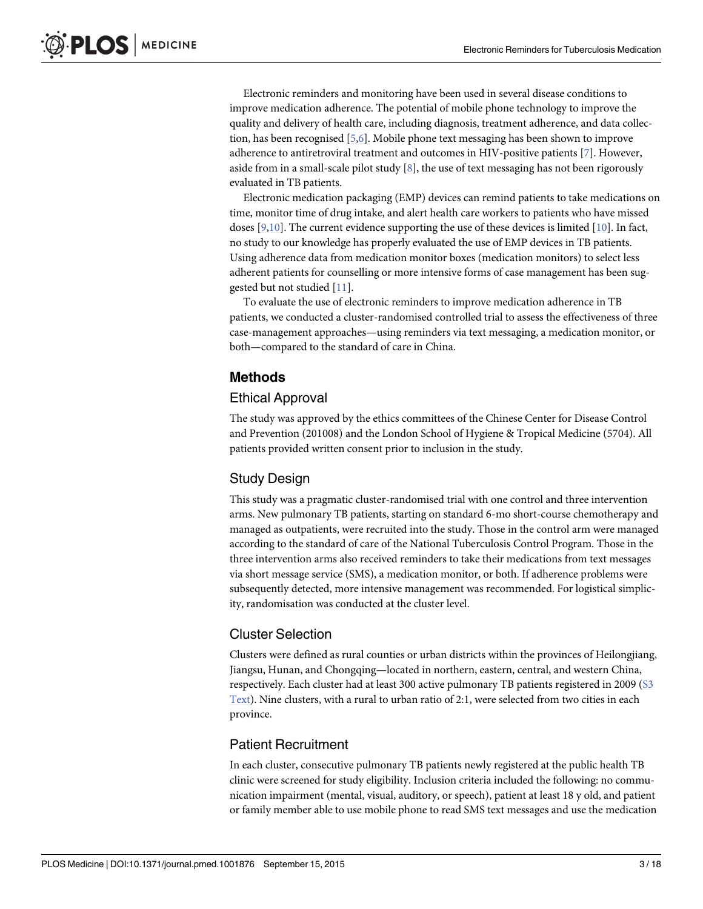<span id="page-2-0"></span>Electronic reminders and monitoring have been used in several disease conditions to improve medication adherence. The potential of mobile phone technology to improve the quality and delivery of health care, including diagnosis, treatment adherence, and data collection, has been recognised [\[5,6](#page-14-0)]. Mobile phone text messaging has been shown to improve adherence to antiretroviral treatment and outcomes in HIV-positive patients [[7\]](#page-14-0). However, aside from in a small-scale pilot study  $[8]$  $[8]$  $[8]$ , the use of text messaging has not been rigorously evaluated in TB patients.

Electronic medication packaging (EMP) devices can remind patients to take medications on time, monitor time of drug intake, and alert health care workers to patients who have missed doses [\[9,10\]](#page-14-0). The current evidence supporting the use of these devices is limited [\[10\]](#page-14-0). In fact, no study to our knowledge has properly evaluated the use of EMP devices in TB patients. Using adherence data from medication monitor boxes (medication monitors) to select less adherent patients for counselling or more intensive forms of case management has been suggested but not studied [[11](#page-14-0)].

To evaluate the use of electronic reminders to improve medication adherence in TB patients, we conducted a cluster-randomised controlled trial to assess the effectiveness of three case-management approaches—using reminders via text messaging, a medication monitor, or both—compared to the standard of care in China.

# Methods

# Ethical Approval

The study was approved by the ethics committees of the Chinese Center for Disease Control and Prevention (201008) and the London School of Hygiene & Tropical Medicine (5704). All patients provided written consent prior to inclusion in the study.

# Study Design

This study was a pragmatic cluster-randomised trial with one control and three intervention arms. New pulmonary TB patients, starting on standard 6-mo short-course chemotherapy and managed as outpatients, were recruited into the study. Those in the control arm were managed according to the standard of care of the National Tuberculosis Control Program. Those in the three intervention arms also received reminders to take their medications from text messages via short message service (SMS), a medication monitor, or both. If adherence problems were subsequently detected, more intensive management was recommended. For logistical simplicity, randomisation was conducted at the cluster level.

# Cluster Selection

Clusters were defined as rural counties or urban districts within the provinces of Heilongjiang, Jiangsu, Hunan, and Chongqing—located in northern, eastern, central, and western China, respectively. Each cluster had at least 300 active pulmonary TB patients registered in 2009 ([S3](#page-13-0) [Text](#page-13-0)). Nine clusters, with a rural to urban ratio of 2:1, were selected from two cities in each province.

# Patient Recruitment

In each cluster, consecutive pulmonary TB patients newly registered at the public health TB clinic were screened for study eligibility. Inclusion criteria included the following: no communication impairment (mental, visual, auditory, or speech), patient at least 18 y old, and patient or family member able to use mobile phone to read SMS text messages and use the medication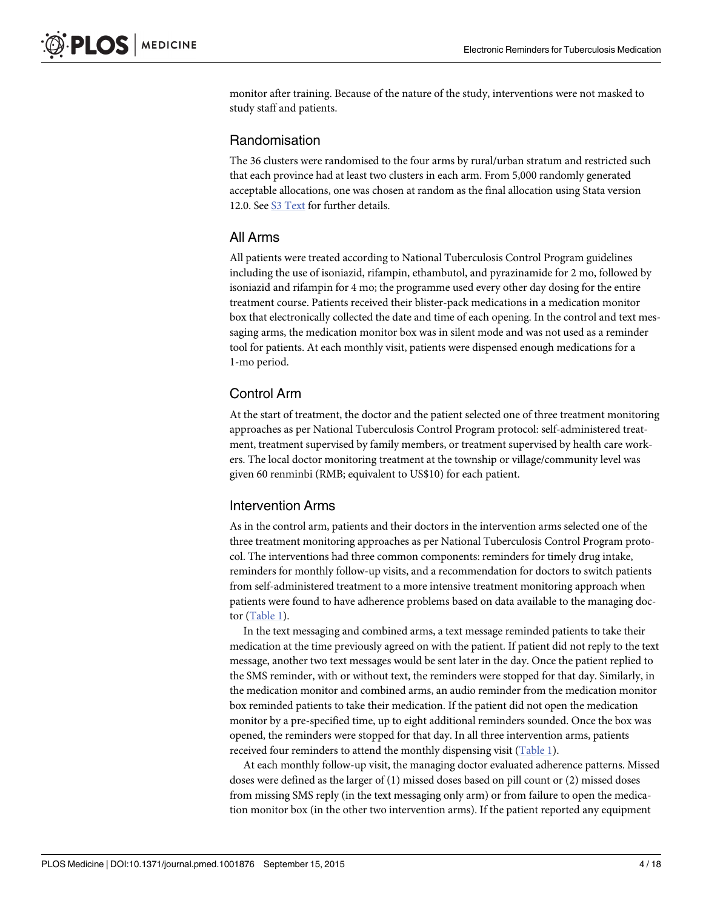<span id="page-3-0"></span>monitor after training. Because of the nature of the study, interventions were not masked to study staff and patients.

#### Randomisation

The 36 clusters were randomised to the four arms by rural/urban stratum and restricted such that each province had at least two clusters in each arm. From 5,000 randomly generated acceptable allocations, one was chosen at random as the final allocation using Stata version 12.0. See [S3 Text](#page-13-0) for further details.

#### All Arms

All patients were treated according to National Tuberculosis Control Program guidelines including the use of isoniazid, rifampin, ethambutol, and pyrazinamide for 2 mo, followed by isoniazid and rifampin for 4 mo; the programme used every other day dosing for the entire treatment course. Patients received their blister-pack medications in a medication monitor box that electronically collected the date and time of each opening. In the control and text messaging arms, the medication monitor box was in silent mode and was not used as a reminder tool for patients. At each monthly visit, patients were dispensed enough medications for a 1-mo period.

#### Control Arm

At the start of treatment, the doctor and the patient selected one of three treatment monitoring approaches as per National Tuberculosis Control Program protocol: self-administered treatment, treatment supervised by family members, or treatment supervised by health care workers. The local doctor monitoring treatment at the township or village/community level was given 60 renminbi (RMB; equivalent to US\$10) for each patient.

#### Intervention Arms

As in the control arm, patients and their doctors in the intervention arms selected one of the three treatment monitoring approaches as per National Tuberculosis Control Program protocol. The interventions had three common components: reminders for timely drug intake, reminders for monthly follow-up visits, and a recommendation for doctors to switch patients from self-administered treatment to a more intensive treatment monitoring approach when patients were found to have adherence problems based on data available to the managing doctor [\(Table 1\)](#page-4-0).

In the text messaging and combined arms, a text message reminded patients to take their medication at the time previously agreed on with the patient. If patient did not reply to the text message, another two text messages would be sent later in the day. Once the patient replied to the SMS reminder, with or without text, the reminders were stopped for that day. Similarly, in the medication monitor and combined arms, an audio reminder from the medication monitor box reminded patients to take their medication. If the patient did not open the medication monitor by a pre-specified time, up to eight additional reminders sounded. Once the box was opened, the reminders were stopped for that day. In all three intervention arms, patients received four reminders to attend the monthly dispensing visit [\(Table 1](#page-4-0)).

At each monthly follow-up visit, the managing doctor evaluated adherence patterns. Missed doses were defined as the larger of (1) missed doses based on pill count or (2) missed doses from missing SMS reply (in the text messaging only arm) or from failure to open the medication monitor box (in the other two intervention arms). If the patient reported any equipment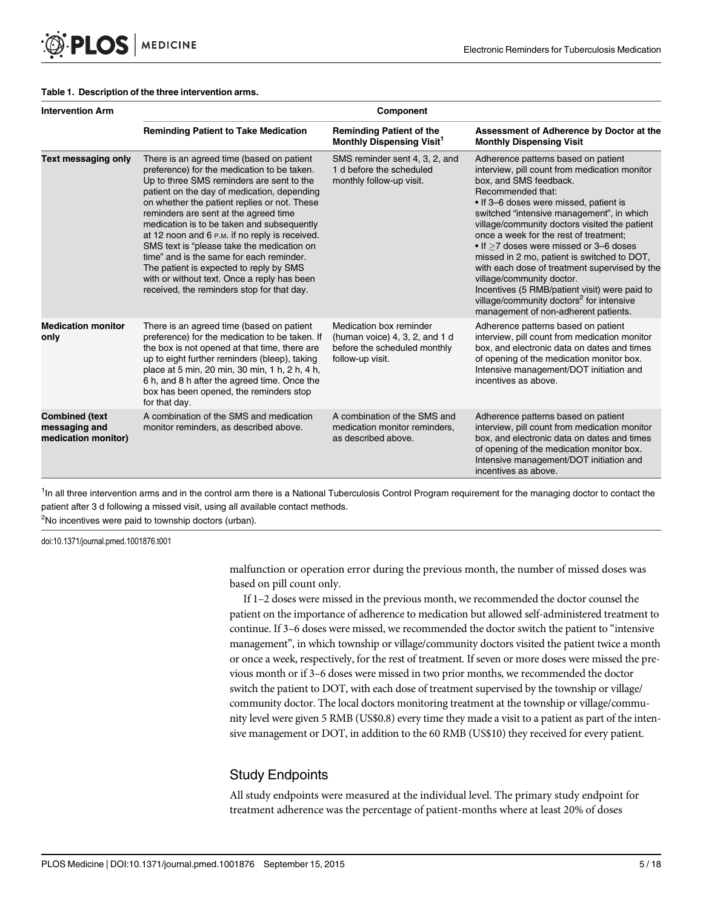<span id="page-4-0"></span>

| <b>Intervention Arm</b>                                       | Component                                                                                                                                                                                                                                                                                                                                                                                                                                                                                                                                                                                                       |                                                                                                                   |                                                                                                                                                                                                                                                                                                                                                                                                                                                                                                                                                                                                                                               |  |  |  |  |  |
|---------------------------------------------------------------|-----------------------------------------------------------------------------------------------------------------------------------------------------------------------------------------------------------------------------------------------------------------------------------------------------------------------------------------------------------------------------------------------------------------------------------------------------------------------------------------------------------------------------------------------------------------------------------------------------------------|-------------------------------------------------------------------------------------------------------------------|-----------------------------------------------------------------------------------------------------------------------------------------------------------------------------------------------------------------------------------------------------------------------------------------------------------------------------------------------------------------------------------------------------------------------------------------------------------------------------------------------------------------------------------------------------------------------------------------------------------------------------------------------|--|--|--|--|--|
|                                                               | <b>Reminding Patient to Take Medication</b>                                                                                                                                                                                                                                                                                                                                                                                                                                                                                                                                                                     | <b>Reminding Patient of the</b><br><b>Monthly Dispensing Visit1</b>                                               | Assessment of Adherence by Doctor at the<br><b>Monthly Dispensing Visit</b>                                                                                                                                                                                                                                                                                                                                                                                                                                                                                                                                                                   |  |  |  |  |  |
| Text messaging only                                           | There is an agreed time (based on patient<br>preference) for the medication to be taken.<br>Up to three SMS reminders are sent to the<br>patient on the day of medication, depending<br>on whether the patient replies or not. These<br>reminders are sent at the agreed time<br>medication is to be taken and subsequently<br>at 12 noon and 6 p.m. if no reply is received.<br>SMS text is "please take the medication on<br>time" and is the same for each reminder.<br>The patient is expected to reply by SMS<br>with or without text. Once a reply has been<br>received, the reminders stop for that day. | SMS reminder sent 4, 3, 2, and<br>1 d before the scheduled<br>monthly follow-up visit.                            | Adherence patterns based on patient<br>interview, pill count from medication monitor<br>box, and SMS feedback.<br>Recommended that:<br>• If 3-6 doses were missed, patient is<br>switched "intensive management", in which<br>village/community doctors visited the patient<br>once a week for the rest of treatment;<br>• If >7 doses were missed or 3–6 doses<br>missed in 2 mo, patient is switched to DOT,<br>with each dose of treatment supervised by the<br>village/community doctor.<br>Incentives (5 RMB/patient visit) were paid to<br>village/community doctors <sup>2</sup> for intensive<br>management of non-adherent patients. |  |  |  |  |  |
| <b>Medication monitor</b><br>only                             | There is an agreed time (based on patient<br>preference) for the medication to be taken. If<br>the box is not opened at that time, there are<br>up to eight further reminders (bleep), taking<br>place at 5 min, 20 min, 30 min, 1 h, 2 h, 4 h,<br>6 h, and 8 h after the agreed time. Once the<br>box has been opened, the reminders stop<br>for that day.                                                                                                                                                                                                                                                     | Medication box reminder<br>(human voice) $4, 3, 2,$ and $1$ d<br>before the scheduled monthly<br>follow-up visit. | Adherence patterns based on patient<br>interview, pill count from medication monitor<br>box, and electronic data on dates and times<br>of opening of the medication monitor box.<br>Intensive management/DOT initiation and<br>incentives as above.                                                                                                                                                                                                                                                                                                                                                                                           |  |  |  |  |  |
| <b>Combined (text</b><br>messaging and<br>medication monitor) | A combination of the SMS and medication<br>monitor reminders, as described above.                                                                                                                                                                                                                                                                                                                                                                                                                                                                                                                               | A combination of the SMS and<br>medication monitor reminders,<br>as described above.                              | Adherence patterns based on patient<br>interview, pill count from medication monitor<br>box, and electronic data on dates and times<br>of opening of the medication monitor box.<br>Intensive management/DOT initiation and<br>incentives as above.                                                                                                                                                                                                                                                                                                                                                                                           |  |  |  |  |  |

<sup>1</sup>In all three intervention arms and in the control arm there is a National Tuberculosis Control Program requirement for the managing doctor to contact the patient after 3 d following a missed visit, using all available contact methods.

<sup>2</sup>No incentives were paid to township doctors (urban).

doi:10.1371/journal.pmed.1001876.t001

malfunction or operation error during the previous month, the number of missed doses was based on pill count only.

If 1–2 doses were missed in the previous month, we recommended the doctor counsel the patient on the importance of adherence to medication but allowed self-administered treatment to continue. If 3–6 doses were missed, we recommended the doctor switch the patient to "intensive management", in which township or village/community doctors visited the patient twice a month or once a week, respectively, for the rest of treatment. If seven or more doses were missed the previous month or if 3–6 doses were missed in two prior months, we recommended the doctor switch the patient to DOT, with each dose of treatment supervised by the township or village/ community doctor. The local doctors monitoring treatment at the township or village/community level were given 5 RMB (US\$0.8) every time they made a visit to a patient as part of the intensive management or DOT, in addition to the 60 RMB (US\$10) they received for every patient.

# Study Endpoints

All study endpoints were measured at the individual level. The primary study endpoint for treatment adherence was the percentage of patient-months where at least 20% of doses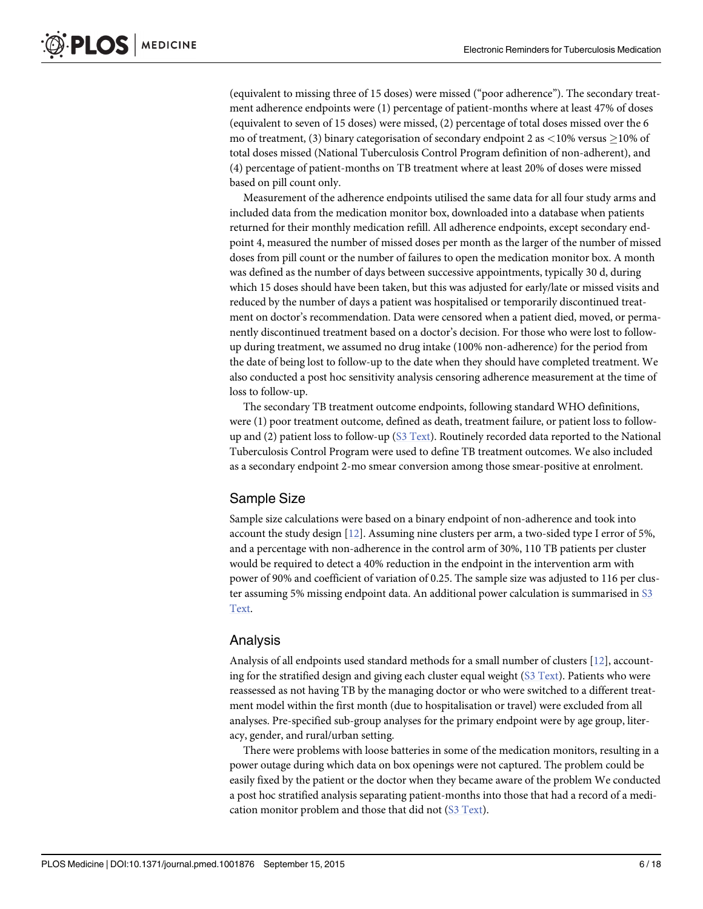<span id="page-5-0"></span>(equivalent to missing three of 15 doses) were missed ("poor adherence"). The secondary treatment adherence endpoints were (1) percentage of patient-months where at least 47% of doses (equivalent to seven of 15 doses) were missed, (2) percentage of total doses missed over the 6 mo of treatment, (3) binary categorisation of secondary endpoint 2 as <10% versus  $\geq$ 10% of total doses missed (National Tuberculosis Control Program definition of non-adherent), and (4) percentage of patient-months on TB treatment where at least 20% of doses were missed based on pill count only.

Measurement of the adherence endpoints utilised the same data for all four study arms and included data from the medication monitor box, downloaded into a database when patients returned for their monthly medication refill. All adherence endpoints, except secondary endpoint 4, measured the number of missed doses per month as the larger of the number of missed doses from pill count or the number of failures to open the medication monitor box. A month was defined as the number of days between successive appointments, typically 30 d, during which 15 doses should have been taken, but this was adjusted for early/late or missed visits and reduced by the number of days a patient was hospitalised or temporarily discontinued treatment on doctor's recommendation. Data were censored when a patient died, moved, or permanently discontinued treatment based on a doctor's decision. For those who were lost to followup during treatment, we assumed no drug intake (100% non-adherence) for the period from the date of being lost to follow-up to the date when they should have completed treatment. We also conducted a post hoc sensitivity analysis censoring adherence measurement at the time of loss to follow-up.

The secondary TB treatment outcome endpoints, following standard WHO definitions, were (1) poor treatment outcome, defined as death, treatment failure, or patient loss to followup and (2) patient loss to follow-up  $(S3 Text)$ . Routinely recorded data reported to the National Tuberculosis Control Program were used to define TB treatment outcomes. We also included as a secondary endpoint 2-mo smear conversion among those smear-positive at enrolment.

#### Sample Size

Sample size calculations were based on a binary endpoint of non-adherence and took into account the study design  $[12]$  $[12]$ . Assuming nine clusters per arm, a two-sided type I error of 5%, and a percentage with non-adherence in the control arm of 30%, 110 TB patients per cluster would be required to detect a 40% reduction in the endpoint in the intervention arm with power of 90% and coefficient of variation of 0.25. The sample size was adjusted to 116 per clus-ter assuming 5% missing endpoint data. An additional power calculation is summarised in [S3](#page-13-0) [Text](#page-13-0).

#### Analysis

Analysis of all endpoints used standard methods for a small number of clusters [\[12\]](#page-14-0), accounting for the stratified design and giving each cluster equal weight  $(S3 Text)$  $(S3 Text)$ . Patients who were reassessed as not having TB by the managing doctor or who were switched to a different treatment model within the first month (due to hospitalisation or travel) were excluded from all analyses. Pre-specified sub-group analyses for the primary endpoint were by age group, literacy, gender, and rural/urban setting.

There were problems with loose batteries in some of the medication monitors, resulting in a power outage during which data on box openings were not captured. The problem could be easily fixed by the patient or the doctor when they became aware of the problem We conducted a post hoc stratified analysis separating patient-months into those that had a record of a medication monitor problem and those that did not ([S3 Text](#page-13-0)).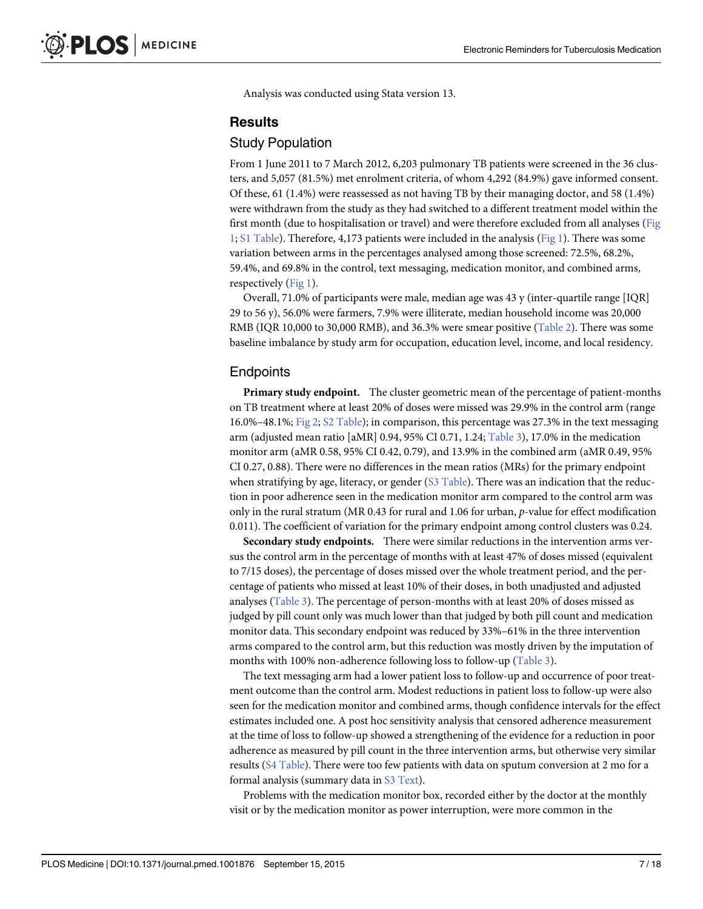Analysis was conducted using Stata version 13.

#### <span id="page-6-0"></span>**Results**

### Study Population

From 1 June 2011 to 7 March 2012, 6,203 pulmonary TB patients were screened in the 36 clusters, and 5,057 (81.5%) met enrolment criteria, of whom 4,292 (84.9%) gave informed consent. Of these, 61 (1.4%) were reassessed as not having TB by their managing doctor, and 58 (1.4%) were withdrawn from the study as they had switched to a different treatment model within the first month (due to hospitalisation or travel) and were therefore excluded from all analyses ([Fig](#page-7-0) [1;](#page-7-0) [S1 Table](#page-13-0)). Therefore, 4,173 patients were included in the analysis [\(Fig 1\)](#page-7-0). There was some variation between arms in the percentages analysed among those screened: 72.5%, 68.2%, 59.4%, and 69.8% in the control, text messaging, medication monitor, and combined arms, respectively [\(Fig 1\)](#page-7-0).

Overall, 71.0% of participants were male, median age was 43 y (inter-quartile range [IQR] 29 to 56 y), 56.0% were farmers, 7.9% were illiterate, median household income was 20,000 RMB (IQR 10,000 to 30,000 RMB), and 36.3% were smear positive [\(Table 2\)](#page-8-0). There was some baseline imbalance by study arm for occupation, education level, income, and local residency.

#### **Endpoints**

Primary study endpoint. The cluster geometric mean of the percentage of patient-months on TB treatment where at least 20% of doses were missed was 29.9% in the control arm (range 16.0%–48.1%; [Fig 2](#page-9-0); [S2 Table](#page-13-0)); in comparison, this percentage was 27.3% in the text messaging arm (adjusted mean ratio [aMR]  $0.94$ ,  $95\%$  CI  $0.71$ ,  $1.24$ ; [Table 3\)](#page-10-0), 17.0% in the medication monitor arm (aMR 0.58, 95% CI 0.42, 0.79), and 13.9% in the combined arm (aMR 0.49, 95% CI 0.27, 0.88). There were no differences in the mean ratios (MRs) for the primary endpoint when stratifying by age, literacy, or gender [\(S3 Table\)](#page-13-0). There was an indication that the reduction in poor adherence seen in the medication monitor arm compared to the control arm was only in the rural stratum (MR 0.43 for rural and 1.06 for urban, p-value for effect modification 0.011). The coefficient of variation for the primary endpoint among control clusters was 0.24.

Secondary study endpoints. There were similar reductions in the intervention arms versus the control arm in the percentage of months with at least 47% of doses missed (equivalent to 7/15 doses), the percentage of doses missed over the whole treatment period, and the percentage of patients who missed at least 10% of their doses, in both unadjusted and adjusted analyses [\(Table 3\)](#page-10-0). The percentage of person-months with at least 20% of doses missed as judged by pill count only was much lower than that judged by both pill count and medication monitor data. This secondary endpoint was reduced by 33%–61% in the three intervention arms compared to the control arm, but this reduction was mostly driven by the imputation of months with 100% non-adherence following loss to follow-up [\(Table 3](#page-10-0)).

The text messaging arm had a lower patient loss to follow-up and occurrence of poor treatment outcome than the control arm. Modest reductions in patient loss to follow-up were also seen for the medication monitor and combined arms, though confidence intervals for the effect estimates included one. A post hoc sensitivity analysis that censored adherence measurement at the time of loss to follow-up showed a strengthening of the evidence for a reduction in poor adherence as measured by pill count in the three intervention arms, but otherwise very similar results [\(S4 Table](#page-13-0)). There were too few patients with data on sputum conversion at 2 mo for a formal analysis (summary data in [S3 Text\)](#page-13-0).

Problems with the medication monitor box, recorded either by the doctor at the monthly visit or by the medication monitor as power interruption, were more common in the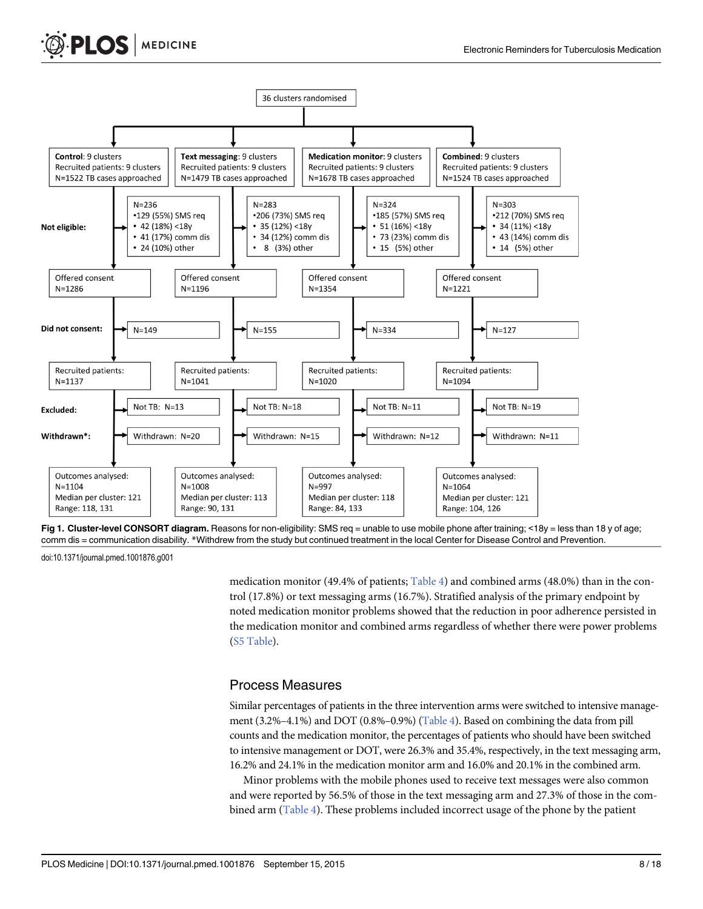<span id="page-7-0"></span>

[Fig 1. C](#page-6-0)luster-level CONSORT diagram. Reasons for non-eligibility: SMS req = unable to use mobile phone after training; <18y = less than 18 y of age; comm dis = communication disability. \*Withdrew from the study but continued treatment in the local Center for Disease Control and Prevention.

doi:10.1371/journal.pmed.1001876.g001

medication monitor (49.4% of patients; [Table 4\)](#page-12-0) and combined arms (48.0%) than in the control (17.8%) or text messaging arms (16.7%). Stratified analysis of the primary endpoint by noted medication monitor problems showed that the reduction in poor adherence persisted in the medication monitor and combined arms regardless of whether there were power problems [\(S5 Table](#page-13-0)).

### Process Measures

Similar percentages of patients in the three intervention arms were switched to intensive management (3.2%–4.1%) and DOT (0.8%–0.9%) [\(Table 4](#page-12-0)). Based on combining the data from pill counts and the medication monitor, the percentages of patients who should have been switched to intensive management or DOT, were 26.3% and 35.4%, respectively, in the text messaging arm, 16.2% and 24.1% in the medication monitor arm and 16.0% and 20.1% in the combined arm.

Minor problems with the mobile phones used to receive text messages were also common and were reported by 56.5% of those in the text messaging arm and 27.3% of those in the combined arm [\(Table 4\)](#page-12-0). These problems included incorrect usage of the phone by the patient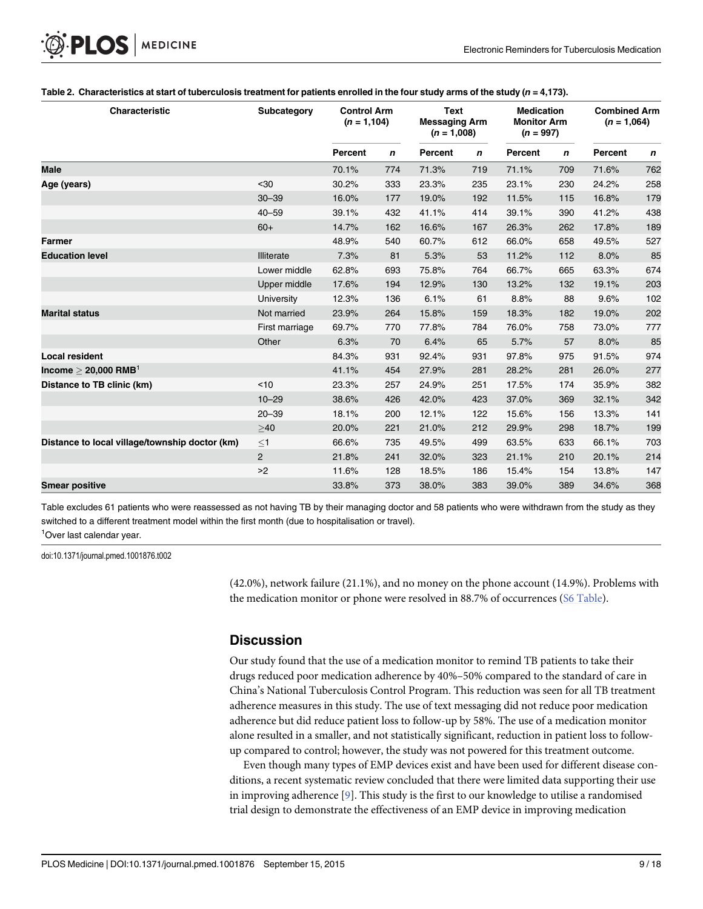| <b>Characteristic</b>                          | Subcategory    | <b>Control Arm</b><br>$(n = 1, 104)$ |             | Text<br><b>Messaging Arm</b><br>$(n = 1,008)$ |             | <b>Medication</b><br><b>Monitor Arm</b><br>$(n = 997)$ |             | <b>Combined Arm</b><br>$(n = 1.064)$ |     |
|------------------------------------------------|----------------|--------------------------------------|-------------|-----------------------------------------------|-------------|--------------------------------------------------------|-------------|--------------------------------------|-----|
|                                                |                | <b>Percent</b>                       | $\mathbf n$ | Percent                                       | $\mathbf n$ | Percent                                                | $\mathbf n$ | Percent                              | n   |
| <b>Male</b>                                    |                | 70.1%                                | 774         | 71.3%                                         | 719         | 71.1%                                                  | 709         | 71.6%                                | 762 |
| Age (years)                                    | $30$           | 30.2%                                | 333         | 23.3%                                         | 235         | 23.1%                                                  | 230         | 24.2%                                | 258 |
|                                                | $30 - 39$      | 16.0%                                | 177         | 19.0%                                         | 192         | 11.5%                                                  | 115         | 16.8%                                | 179 |
|                                                | $40 - 59$      | 39.1%                                | 432         | 41.1%                                         | 414         | 39.1%                                                  | 390         | 41.2%                                | 438 |
|                                                | $60+$          | 14.7%                                | 162         | 16.6%                                         | 167         | 26.3%                                                  | 262         | 17.8%                                | 189 |
| Farmer                                         |                | 48.9%                                | 540         | 60.7%                                         | 612         | 66.0%                                                  | 658         | 49.5%                                | 527 |
| <b>Education level</b>                         | Illiterate     | 7.3%                                 | 81          | 5.3%                                          | 53          | 11.2%                                                  | 112         | 8.0%                                 | 85  |
|                                                | Lower middle   | 62.8%                                | 693         | 75.8%                                         | 764         | 66.7%                                                  | 665         | 63.3%                                | 674 |
|                                                | Upper middle   | 17.6%                                | 194         | 12.9%                                         | 130         | 13.2%                                                  | 132         | 19.1%                                | 203 |
|                                                | University     | 12.3%                                | 136         | 6.1%                                          | 61          | 8.8%                                                   | 88          | 9.6%                                 | 102 |
| <b>Marital status</b>                          | Not married    | 23.9%                                | 264         | 15.8%                                         | 159         | 18.3%                                                  | 182         | 19.0%                                | 202 |
|                                                | First marriage | 69.7%                                | 770         | 77.8%                                         | 784         | 76.0%                                                  | 758         | 73.0%                                | 777 |
|                                                | Other          | 6.3%                                 | 70          | 6.4%                                          | 65          | 5.7%                                                   | 57          | 8.0%                                 | 85  |
| <b>Local resident</b>                          |                | 84.3%                                | 931         | 92.4%                                         | 931         | 97.8%                                                  | 975         | 91.5%                                | 974 |
| Income $>$ 20,000 RMB <sup>1</sup>             |                | 41.1%                                | 454         | 27.9%                                         | 281         | 28.2%                                                  | 281         | 26.0%                                | 277 |
| Distance to TB clinic (km)                     | < 10           | 23.3%                                | 257         | 24.9%                                         | 251         | 17.5%                                                  | 174         | 35.9%                                | 382 |
|                                                | $10 - 29$      | 38.6%                                | 426         | 42.0%                                         | 423         | 37.0%                                                  | 369         | 32.1%                                | 342 |
|                                                | $20 - 39$      | 18.1%                                | 200         | 12.1%                                         | 122         | 15.6%                                                  | 156         | 13.3%                                | 141 |
|                                                | $>40$          | 20.0%                                | 221         | 21.0%                                         | 212         | 29.9%                                                  | 298         | 18.7%                                | 199 |
| Distance to local village/township doctor (km) | $\leq$ 1       | 66.6%                                | 735         | 49.5%                                         | 499         | 63.5%                                                  | 633         | 66.1%                                | 703 |
|                                                | $\overline{2}$ | 21.8%                                | 241         | 32.0%                                         | 323         | 21.1%                                                  | 210         | 20.1%                                | 214 |
|                                                | >2             | 11.6%                                | 128         | 18.5%                                         | 186         | 15.4%                                                  | 154         | 13.8%                                | 147 |
| <b>Smear positive</b>                          |                | 33.8%                                | 373         | 38.0%                                         | 383         | 39.0%                                                  | 389         | 34.6%                                | 368 |

#### <span id="page-8-0"></span>[Table 2.](#page-6-0) Characteristics at start of tuberculosis treatment for patients enrolled in the four study arms of the study ( $n = 4,173$ ).

Table excludes 61 patients who were reassessed as not having TB by their managing doctor and 58 patients who were withdrawn from the study as they switched to a different treatment model within the first month (due to hospitalisation or travel). <sup>1</sup>Over last calendar year.

doi:10.1371/journal.pmed.1001876.t002

(42.0%), network failure (21.1%), and no money on the phone account (14.9%). Problems with the medication monitor or phone were resolved in 88.7% of occurrences ([S6 Table\)](#page-13-0).

#### **Discussion**

Our study found that the use of a medication monitor to remind TB patients to take their drugs reduced poor medication adherence by 40%–50% compared to the standard of care in China's National Tuberculosis Control Program. This reduction was seen for all TB treatment adherence measures in this study. The use of text messaging did not reduce poor medication adherence but did reduce patient loss to follow-up by 58%. The use of a medication monitor alone resulted in a smaller, and not statistically significant, reduction in patient loss to followup compared to control; however, the study was not powered for this treatment outcome.

Even though many types of EMP devices exist and have been used for different disease conditions, a recent systematic review concluded that there were limited data supporting their use in improving adherence [[9](#page-14-0)]. This study is the first to our knowledge to utilise a randomised trial design to demonstrate the effectiveness of an EMP device in improving medication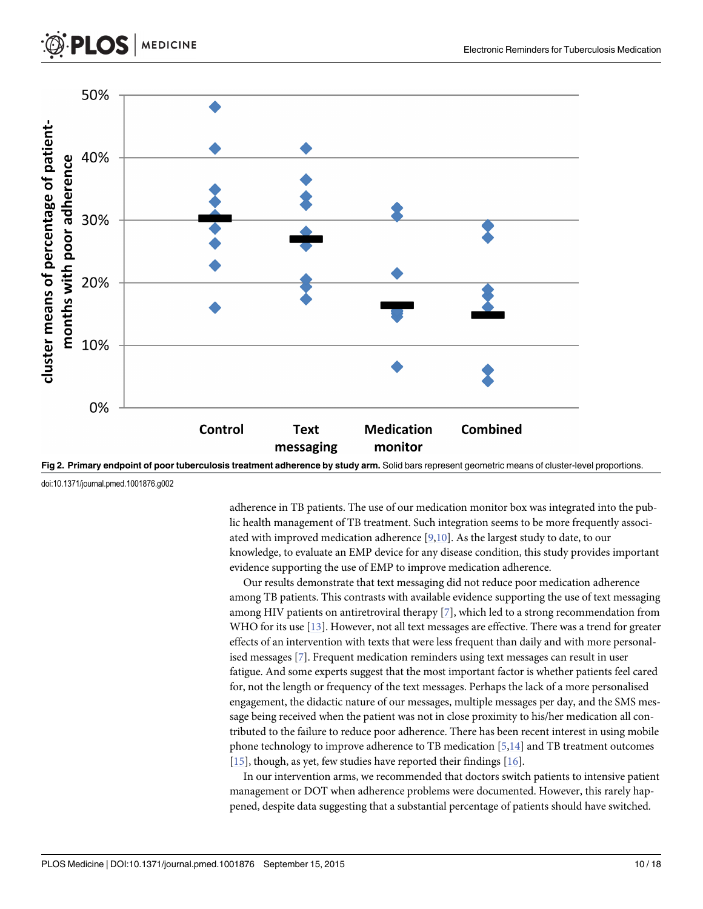<span id="page-9-0"></span>



[Fig 2. P](#page-6-0)rimary endpoint of poor tuberculosis treatment adherence by study arm. Solid bars represent geometric means of cluster-level proportions.

doi:10.1371/journal.pmed.1001876.g002

adherence in TB patients. The use of our medication monitor box was integrated into the public health management of TB treatment. Such integration seems to be more frequently associated with improved medication adherence [[9,10](#page-14-0)]. As the largest study to date, to our knowledge, to evaluate an EMP device for any disease condition, this study provides important evidence supporting the use of EMP to improve medication adherence.

Our results demonstrate that text messaging did not reduce poor medication adherence among TB patients. This contrasts with available evidence supporting the use of text messaging among HIV patients on antiretroviral therapy [\[7\]](#page-14-0), which led to a strong recommendation from WHO for its use [\[13](#page-14-0)]. However, not all text messages are effective. There was a trend for greater effects of an intervention with texts that were less frequent than daily and with more personalised messages [[7\]](#page-14-0). Frequent medication reminders using text messages can result in user fatigue. And some experts suggest that the most important factor is whether patients feel cared for, not the length or frequency of the text messages. Perhaps the lack of a more personalised engagement, the didactic nature of our messages, multiple messages per day, and the SMS message being received when the patient was not in close proximity to his/her medication all contributed to the failure to reduce poor adherence. There has been recent interest in using mobile phone technology to improve adherence to TB medication  $[5,14]$  $[5,14]$  $[5,14]$  and TB treatment outcomes  $[15]$  $[15]$ , though, as yet, few studies have reported their findings  $[16]$  $[16]$ .

In our intervention arms, we recommended that doctors switch patients to intensive patient management or DOT when adherence problems were documented. However, this rarely happened, despite data suggesting that a substantial percentage of patients should have switched.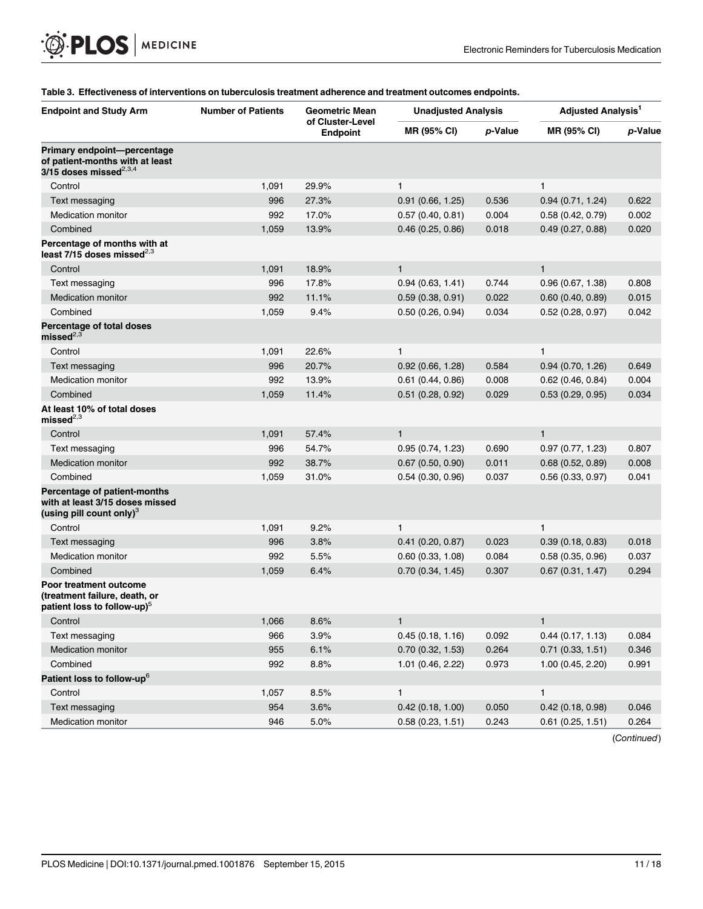| <b>Endpoint and Study Arm</b>                                                                      | <b>Number of Patients</b> | <b>Geometric Mean</b>               | <b>Unadjusted Analysis</b> |         | <b>Adjusted Analysis<sup>1</sup></b> |         |  |
|----------------------------------------------------------------------------------------------------|---------------------------|-------------------------------------|----------------------------|---------|--------------------------------------|---------|--|
|                                                                                                    |                           | of Cluster-Level<br><b>Endpoint</b> | MR (95% CI)                | p-Value | MR (95% CI)                          | p-Value |  |
| Primary endpoint-percentage<br>of patient-months with at least<br>$3/15$ doses missed $^{2,3,4}$   |                           |                                     |                            |         |                                      |         |  |
| Control                                                                                            | 1,091                     | 29.9%                               | $\mathbf{1}$               |         | 1                                    |         |  |
| Text messaging                                                                                     | 996                       | 27.3%                               | 0.91(0.66, 1.25)           | 0.536   | 0.94(0.71, 1.24)                     | 0.622   |  |
| <b>Medication monitor</b>                                                                          | 992                       | 17.0%                               | 0.57(0.40, 0.81)           | 0.004   | 0.58(0.42, 0.79)                     | 0.002   |  |
| Combined                                                                                           | 1,059                     | 13.9%                               | 0.46(0.25, 0.86)           | 0.018   | 0.49(0.27, 0.88)                     | 0.020   |  |
| Percentage of months with at<br>least $7/15$ doses missed <sup>2,3</sup>                           |                           |                                     |                            |         |                                      |         |  |
| Control                                                                                            | 1,091                     | 18.9%                               | $\mathbf{1}$               |         | $\mathbf{1}$                         |         |  |
| Text messaging                                                                                     | 996                       | 17.8%                               | 0.94(0.63, 1.41)           | 0.744   | 0.96(0.67, 1.38)                     | 0.808   |  |
| <b>Medication monitor</b>                                                                          | 992                       | 11.1%                               | 0.59(0.38, 0.91)           | 0.022   | $0.60$ (0.40, 0.89)                  | 0.015   |  |
| Combined                                                                                           | 1,059                     | 9.4%                                | 0.50(0.26, 0.94)           | 0.034   | 0.52(0.28, 0.97)                     | 0.042   |  |
| Percentage of total doses<br>missed $^{2,3}$                                                       |                           |                                     |                            |         |                                      |         |  |
| Control                                                                                            | 1,091                     | 22.6%                               | $\mathbf{1}$               |         | 1                                    |         |  |
| Text messaging                                                                                     | 996                       | 20.7%                               | 0.92(0.66, 1.28)           | 0.584   | 0.94(0.70, 1.26)                     | 0.649   |  |
| <b>Medication monitor</b>                                                                          | 992                       | 13.9%                               | $0.61$ (0.44, 0.86)        | 0.008   | $0.62$ (0.46, 0.84)                  | 0.004   |  |
| Combined                                                                                           | 1,059                     | 11.4%                               | $0.51$ (0.28, 0.92)        | 0.029   | 0.53(0.29, 0.95)                     | 0.034   |  |
| At least 10% of total doses<br>missed $^{2,3}$                                                     |                           |                                     |                            |         |                                      |         |  |
| Control                                                                                            | 1,091                     | 57.4%                               | $\mathbf{1}$               |         | 1                                    |         |  |
| Text messaging                                                                                     | 996                       | 54.7%                               | 0.95(0.74, 1.23)           | 0.690   | 0.97(0.77, 1.23)                     | 0.807   |  |
| <b>Medication monitor</b>                                                                          | 992                       | 38.7%                               | $0.67$ (0.50, 0.90)        | 0.011   | 0.68(0.52, 0.89)                     | 0.008   |  |
| Combined                                                                                           | 1,059                     | 31.0%                               | 0.54(0.30, 0.96)           | 0.037   | 0.56(0.33, 0.97)                     | 0.041   |  |
| Percentage of patient-months<br>with at least 3/15 doses missed<br>(using pill count only) $3$     |                           |                                     |                            |         |                                      |         |  |
| Control                                                                                            | 1,091                     | 9.2%                                | 1                          |         | 1                                    |         |  |
| Text messaging                                                                                     | 996                       | 3.8%                                | $0.41$ (0.20, 0.87)        | 0.023   | 0.39(0.18, 0.83)                     | 0.018   |  |
| <b>Medication monitor</b>                                                                          | 992                       | 5.5%                                | 0.60(0.33, 1.08)           | 0.084   | 0.58(0.35, 0.96)                     | 0.037   |  |
| Combined                                                                                           | 1,059                     | 6.4%                                | 0.70(0.34, 1.45)           | 0.307   | 0.67(0.31, 1.47)                     | 0.294   |  |
| Poor treatment outcome<br>(treatment failure, death, or<br>patient loss to follow-up) <sup>5</sup> |                           |                                     |                            |         |                                      |         |  |
| Control                                                                                            | 1,066                     | 8.6%                                | $\mathbf{1}$               |         | 1                                    |         |  |
| Text messaging                                                                                     | 966                       | 3.9%                                | 0.45(0.18, 1.16)           | 0.092   | 0.44(0.17, 1.13)                     | 0.084   |  |
| <b>Medication monitor</b>                                                                          | 955                       | 6.1%                                | 0.70(0.32, 1.53)           | 0.264   | 0.71(0.33, 1.51)                     | 0.346   |  |
| Combined                                                                                           | 992                       | 8.8%                                | 1.01 (0.46, 2.22)          | 0.973   | 1.00 (0.45, 2.20)                    | 0.991   |  |
| Patient loss to follow-up <sup>6</sup>                                                             |                           |                                     |                            |         |                                      |         |  |
| Control                                                                                            | 1,057                     | 8.5%                                | $\mathbf{1}$               |         | $\mathbf{1}$                         |         |  |
| Text messaging                                                                                     | 954                       | 3.6%                                | 0.42(0.18, 1.00)           | 0.050   | 0.42(0.18, 0.98)                     | 0.046   |  |
| Medication monitor                                                                                 | 946                       | 5.0%                                | 0.58(0.23, 1.51)           | 0.243   | $0.61$ (0.25, 1.51)                  | 0.264   |  |

#### [Table 3.](#page-6-0) Effectiveness of interventions on tuberculosis treatment adherence and treatment outcomes endpoints.

<span id="page-10-0"></span>DI MEDICINE

(Continued)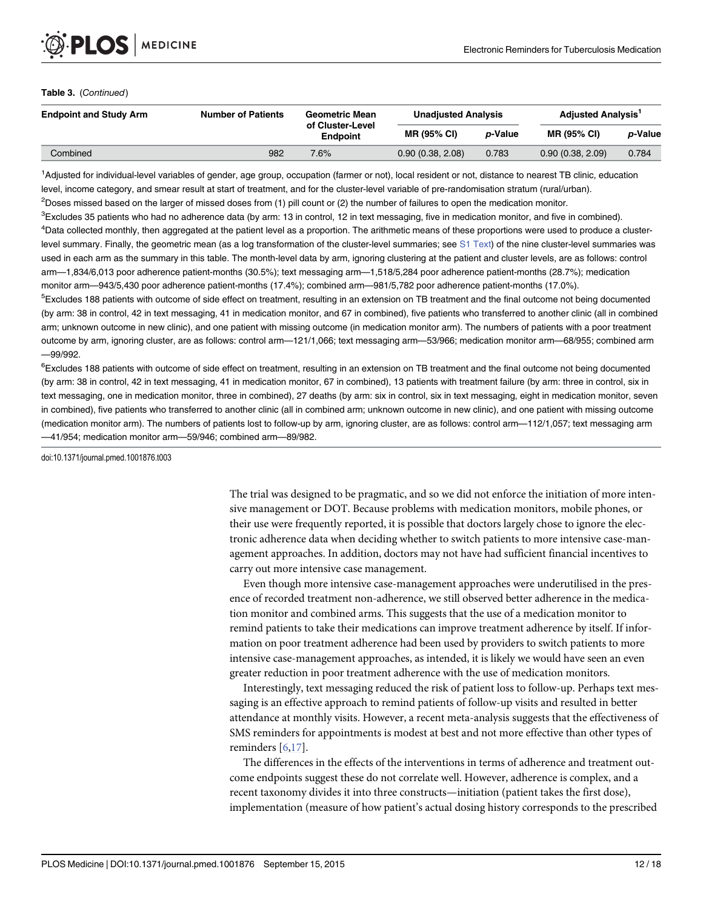#### <span id="page-11-0"></span>Table 3. (Continued)

| <b>Endpoint and Study Arm</b> | <b>Number of Patients</b> | <b>Geometric Mean</b>        | <b>Unadiusted Analysis</b> |                 | <b>Adjusted Analysis</b> <sup>1</sup> |                 |  |
|-------------------------------|---------------------------|------------------------------|----------------------------|-----------------|---------------------------------------|-----------------|--|
|                               |                           | of Cluster-Level<br>Endpoint | MR (95% CI)                | <i>p</i> -Value | MR (95% CI)                           | <i>p</i> -Value |  |
| Combined                      | 982                       | $7.6\%$                      | 0.90(0.38, 2.08)           | 0.783           | 0.90(0.38, 2.09)                      | 0.784           |  |

<sup>1</sup>Adjusted for individual-level variables of gender, age group, occupation (farmer or not), local resident or not, distance to nearest TB clinic, education level, income category, and smear result at start of treatment, and for the cluster-level variable of pre-randomisation stratum (rural/urban). 2 Doses missed based on the larger of missed doses from (1) pill count or (2) the number of failures to open the medication monitor. <sup>3</sup>Excludes 35 patients who had no adherence data (by arm: 13 in control, 12 in text messaging, five in medication monitor, and five in combined). <sup>4</sup>Data collected monthly, then aggregated at the patient level as a proportion. The arithmetic means of these proportions were used to produce a cluster-level summary. Finally, the geometric mean (as a log transformation of the cluster-level summaries; see [S1 Text\)](#page-13-0) of the nine cluster-level summaries was used in each arm as the summary in this table. The month-level data by arm, ignoring clustering at the patient and cluster levels, are as follows: control arm—1,834/6,013 poor adherence patient-months (30.5%); text messaging arm—1,518/5,284 poor adherence patient-months (28.7%); medication monitor arm—943/5,430 poor adherence patient-months (17.4%); combined arm—981/5,782 poor adherence patient-months (17.0%). <sup>5</sup>Excludes 188 patients with outcome of side effect on treatment, resulting in an extension on TB treatment and the final outcome not being documented (by arm: 38 in control, 42 in text messaging, 41 in medication monitor, and 67 in combined), five patients who transferred to another clinic (all in combined arm; unknown outcome in new clinic), and one patient with missing outcome (in medication monitor arm). The numbers of patients with a poor treatment

outcome by arm, ignoring cluster, are as follows: control arm—121/1,066; text messaging arm—53/966; medication monitor arm—68/955; combined arm —99/992.

<sup>6</sup>Excludes 188 patients with outcome of side effect on treatment, resulting in an extension on TB treatment and the final outcome not being documented (by arm: 38 in control, 42 in text messaging, 41 in medication monitor, 67 in combined), 13 patients with treatment failure (by arm: three in control, six in text messaging, one in medication monitor, three in combined), 27 deaths (by arm: six in control, six in text messaging, eight in medication monitor, seven in combined), five patients who transferred to another clinic (all in combined arm; unknown outcome in new clinic), and one patient with missing outcome (medication monitor arm). The numbers of patients lost to follow-up by arm, ignoring cluster, are as follows: control arm—112/1,057; text messaging arm —41/954; medication monitor arm—59/946; combined arm—89/982.

doi:10.1371/journal.pmed.1001876.t003

The trial was designed to be pragmatic, and so we did not enforce the initiation of more intensive management or DOT. Because problems with medication monitors, mobile phones, or their use were frequently reported, it is possible that doctors largely chose to ignore the electronic adherence data when deciding whether to switch patients to more intensive case-management approaches. In addition, doctors may not have had sufficient financial incentives to carry out more intensive case management.

Even though more intensive case-management approaches were underutilised in the presence of recorded treatment non-adherence, we still observed better adherence in the medication monitor and combined arms. This suggests that the use of a medication monitor to remind patients to take their medications can improve treatment adherence by itself. If information on poor treatment adherence had been used by providers to switch patients to more intensive case-management approaches, as intended, it is likely we would have seen an even greater reduction in poor treatment adherence with the use of medication monitors.

Interestingly, text messaging reduced the risk of patient loss to follow-up. Perhaps text messaging is an effective approach to remind patients of follow-up visits and resulted in better attendance at monthly visits. However, a recent meta-analysis suggests that the effectiveness of SMS reminders for appointments is modest at best and not more effective than other types of reminders [\[6](#page-14-0)[,17\]](#page-15-0).

The differences in the effects of the interventions in terms of adherence and treatment outcome endpoints suggest these do not correlate well. However, adherence is complex, and a recent taxonomy divides it into three constructs—initiation (patient takes the first dose), implementation (measure of how patient's actual dosing history corresponds to the prescribed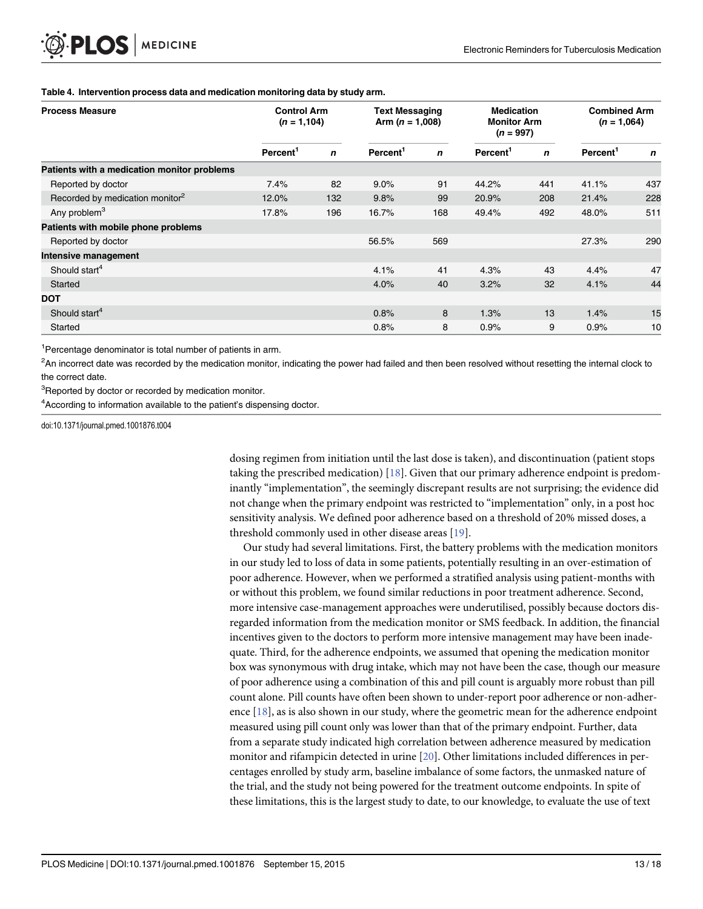| <b>Process Measure</b>                      | <b>Control Arm</b><br>$(n = 1, 104)$ |             | <b>Text Messaging</b><br>Arm $(n = 1,008)$ |             | <b>Medication</b><br><b>Monitor Arm</b><br>$(n = 997)$ |             | <b>Combined Arm</b><br>$(n = 1,064)$ |             |
|---------------------------------------------|--------------------------------------|-------------|--------------------------------------------|-------------|--------------------------------------------------------|-------------|--------------------------------------|-------------|
|                                             | Percent <sup>1</sup>                 | $\mathbf n$ | Percent <sup>1</sup>                       | $\mathbf n$ | Percent <sup>1</sup>                                   | $\mathbf n$ | Percent <sup>1</sup>                 | $\mathbf n$ |
| Patients with a medication monitor problems |                                      |             |                                            |             |                                                        |             |                                      |             |
| Reported by doctor                          | 7.4%                                 | 82          | 9.0%                                       | 91          | 44.2%                                                  | 441         | 41.1%                                | 437         |
| Recorded by medication monitor <sup>2</sup> | 12.0%                                | 132         | 9.8%                                       | 99          | 20.9%                                                  | 208         | 21.4%                                | 228         |
| Any problem <sup>3</sup>                    | 17.8%                                | 196         | 16.7%                                      | 168         | 49.4%                                                  | 492         | 48.0%                                | 511         |
| Patients with mobile phone problems         |                                      |             |                                            |             |                                                        |             |                                      |             |
| Reported by doctor                          |                                      |             | 56.5%                                      | 569         |                                                        |             | 27.3%                                | 290         |
| Intensive management                        |                                      |             |                                            |             |                                                        |             |                                      |             |
| Should start <sup>4</sup>                   |                                      |             | 4.1%                                       | 41          | 4.3%                                                   | 43          | 4.4%                                 | 47          |
| Started                                     |                                      |             | 4.0%                                       | 40          | 3.2%                                                   | 32          | 4.1%                                 | 44          |
| <b>DOT</b>                                  |                                      |             |                                            |             |                                                        |             |                                      |             |
| Should start <sup>4</sup>                   |                                      |             | 0.8%                                       | 8           | 1.3%                                                   | 13          | 1.4%                                 | 15          |
| Started                                     |                                      |             | 0.8%                                       | 8           | 0.9%                                                   | 9           | 0.9%                                 | 10          |

#### <span id="page-12-0"></span>[Table 4.](#page-7-0) Intervention process data and medication monitoring data by study arm.

<sup>1</sup>Percentage denominator is total number of patients in arm.

 ${}^{2}$ An incorrect date was recorded by the medication monitor, indicating the power had failed and then been resolved without resetting the internal clock to the correct date.

<sup>3</sup>Reported by doctor or recorded by medication monitor.

<sup>4</sup> According to information available to the patient's dispensing doctor.

doi:10.1371/journal.pmed.1001876.t004

dosing regimen from initiation until the last dose is taken), and discontinuation (patient stops taking the prescribed medication)  $[18]$ . Given that our primary adherence endpoint is predominantly "implementation", the seemingly discrepant results are not surprising; the evidence did not change when the primary endpoint was restricted to "implementation" only, in a post hoc sensitivity analysis. We defined poor adherence based on a threshold of 20% missed doses, a threshold commonly used in other disease areas [\[19\]](#page-15-0).

Our study had several limitations. First, the battery problems with the medication monitors in our study led to loss of data in some patients, potentially resulting in an over-estimation of poor adherence. However, when we performed a stratified analysis using patient-months with or without this problem, we found similar reductions in poor treatment adherence. Second, more intensive case-management approaches were underutilised, possibly because doctors disregarded information from the medication monitor or SMS feedback. In addition, the financial incentives given to the doctors to perform more intensive management may have been inadequate. Third, for the adherence endpoints, we assumed that opening the medication monitor box was synonymous with drug intake, which may not have been the case, though our measure of poor adherence using a combination of this and pill count is arguably more robust than pill count alone. Pill counts have often been shown to under-report poor adherence or non-adherence  $[18]$  $[18]$  $[18]$ , as is also shown in our study, where the geometric mean for the adherence endpoint measured using pill count only was lower than that of the primary endpoint. Further, data from a separate study indicated high correlation between adherence measured by medication monitor and rifampicin detected in urine [\[20](#page-15-0)]. Other limitations included differences in percentages enrolled by study arm, baseline imbalance of some factors, the unmasked nature of the trial, and the study not being powered for the treatment outcome endpoints. In spite of these limitations, this is the largest study to date, to our knowledge, to evaluate the use of text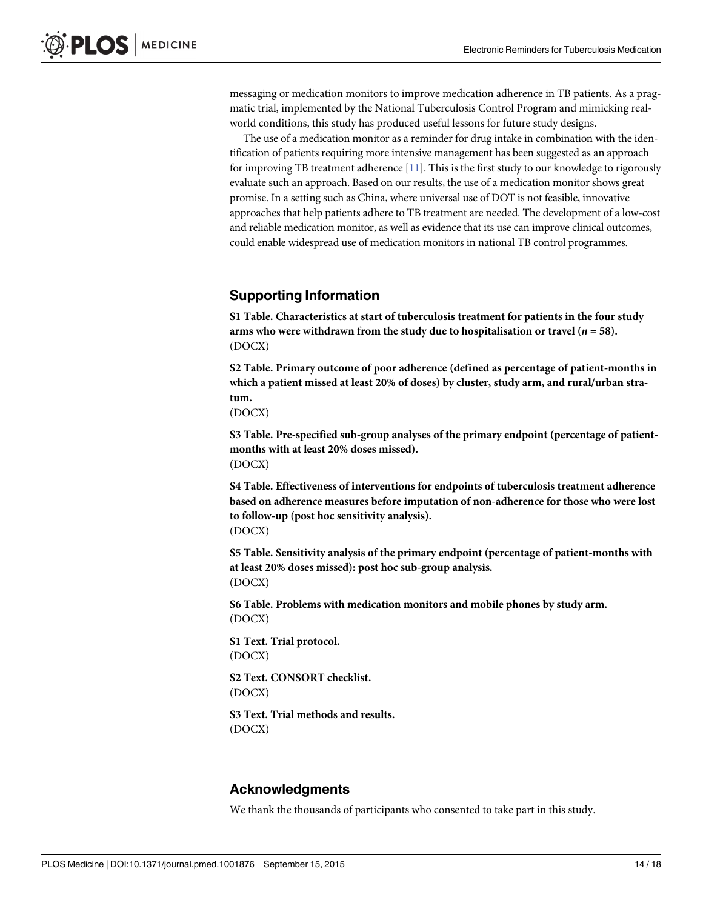<span id="page-13-0"></span>messaging or medication monitors to improve medication adherence in TB patients. As a pragmatic trial, implemented by the National Tuberculosis Control Program and mimicking realworld conditions, this study has produced useful lessons for future study designs.

The use of a medication monitor as a reminder for drug intake in combination with the identification of patients requiring more intensive management has been suggested as an approach for improving TB treatment adherence  $[11]$ . This is the first study to our knowledge to rigorously evaluate such an approach. Based on our results, the use of a medication monitor shows great promise. In a setting such as China, where universal use of DOT is not feasible, innovative approaches that help patients adhere to TB treatment are needed. The development of a low-cost and reliable medication monitor, as well as evidence that its use can improve clinical outcomes, could enable widespread use of medication monitors in national TB control programmes.

# Supporting Information

[S1 Table](http://www.plosone.org/article/fetchSingleRepresentation.action?uri=info:doi/10.1371/journal.pmed.1001876.s001). Characteristics at start of tuberculosis treatment for patients in the four study arms who were withdrawn from the study due to hospitalisation or travel ( $n = 58$ ). (DOCX)

[S2 Table](http://www.plosone.org/article/fetchSingleRepresentation.action?uri=info:doi/10.1371/journal.pmed.1001876.s002). Primary outcome of poor adherence (defined as percentage of patient-months in which a patient missed at least 20% of doses) by cluster, study arm, and rural/urban stratum.

(DOCX)

[S3 Table](http://www.plosone.org/article/fetchSingleRepresentation.action?uri=info:doi/10.1371/journal.pmed.1001876.s003). Pre-specified sub-group analyses of the primary endpoint (percentage of patientmonths with at least 20% doses missed). (DOCX)

[S4 Table](http://www.plosone.org/article/fetchSingleRepresentation.action?uri=info:doi/10.1371/journal.pmed.1001876.s004). Effectiveness of interventions for endpoints of tuberculosis treatment adherence based on adherence measures before imputation of non-adherence for those who were lost to follow-up (post hoc sensitivity analysis). (DOCX)

[S5 Table](http://www.plosone.org/article/fetchSingleRepresentation.action?uri=info:doi/10.1371/journal.pmed.1001876.s005). Sensitivity analysis of the primary endpoint (percentage of patient-months with at least 20% doses missed): post hoc sub-group analysis. (DOCX)

[S6 Table](http://www.plosone.org/article/fetchSingleRepresentation.action?uri=info:doi/10.1371/journal.pmed.1001876.s006). Problems with medication monitors and mobile phones by study arm. (DOCX)

[S1 Text.](http://www.plosone.org/article/fetchSingleRepresentation.action?uri=info:doi/10.1371/journal.pmed.1001876.s007) Trial protocol. (DOCX)

[S2 Text.](http://www.plosone.org/article/fetchSingleRepresentation.action?uri=info:doi/10.1371/journal.pmed.1001876.s008) CONSORT checklist. (DOCX)

[S3 Text.](http://www.plosone.org/article/fetchSingleRepresentation.action?uri=info:doi/10.1371/journal.pmed.1001876.s009) Trial methods and results. (DOCX)

# Acknowledgments

We thank the thousands of participants who consented to take part in this study.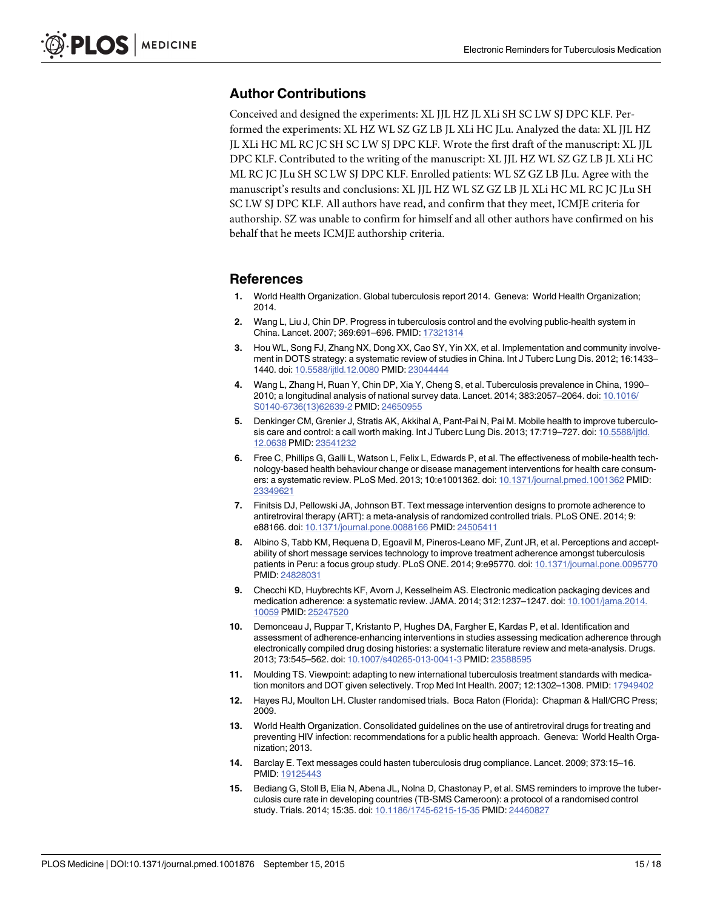### <span id="page-14-0"></span>Author Contributions

Conceived and designed the experiments: XL JJL HZ JL XLi SH SC LW SJ DPC KLF. Performed the experiments: XL HZ WL SZ GZ LB JL XLi HC JLu. Analyzed the data: XL JJL HZ JL XLi HC ML RC JC SH SC LW SJ DPC KLF. Wrote the first draft of the manuscript: XL JJL DPC KLF. Contributed to the writing of the manuscript: XL JJL HZ WL SZ GZ LB JL XLi HC ML RC JC JLu SH SC LW SJ DPC KLF. Enrolled patients: WL SZ GZ LB JLu. Agree with the manuscript's results and conclusions: XL JJL HZ WL SZ GZ LB JL XLi HC ML RC JC JLu SH SC LW SJ DPC KLF. All authors have read, and confirm that they meet, ICMJE criteria for authorship. SZ was unable to confirm for himself and all other authors have confirmed on his behalf that he meets ICMJE authorship criteria.

#### **References**

- [1.](#page-1-0) World Health Organization. Global tuberculosis report 2014. Geneva: World Health Organization; 2014.
- [2.](#page-1-0) Wang L, Liu J, Chin DP. Progress in tuberculosis control and the evolving public-health system in China. Lancet. 2007; 369:691–696. PMID: [17321314](http://www.ncbi.nlm.nih.gov/pubmed/17321314)
- [3.](#page-1-0) Hou WL, Song FJ, Zhang NX, Dong XX, Cao SY, Yin XX, et al. Implementation and community involvement in DOTS strategy: a systematic review of studies in China. Int J Tuberc Lung Dis. 2012; 16:1433– 1440. doi: [10.5588/ijtld.12.0080](http://dx.doi.org/10.5588/ijtld.12.0080) PMID: [23044444](http://www.ncbi.nlm.nih.gov/pubmed/23044444)
- [4.](#page-1-0) Wang L, Zhang H, Ruan Y, Chin DP, Xia Y, Cheng S, et al. Tuberculosis prevalence in China, 1990– 2010; a longitudinal analysis of national survey data. Lancet. 2014; 383:2057–2064. doi: [10.1016/](http://dx.doi.org/10.1016/S0140-6736(13)62639-2) [S0140-6736\(13\)62639-2](http://dx.doi.org/10.1016/S0140-6736(13)62639-2) PMID: [24650955](http://www.ncbi.nlm.nih.gov/pubmed/24650955)
- [5.](#page-2-0) Denkinger CM, Grenier J, Stratis AK, Akkihal A, Pant-Pai N, Pai M. Mobile health to improve tuberculosis care and control: a call worth making. Int J Tuberc Lung Dis. 2013; 17:719–727. doi: [10.5588/ijtld.](http://dx.doi.org/10.5588/ijtld.12.0638) [12.0638](http://dx.doi.org/10.5588/ijtld.12.0638) PMID: [23541232](http://www.ncbi.nlm.nih.gov/pubmed/23541232)
- [6.](#page-2-0) Free C, Phillips G, Galli L, Watson L, Felix L, Edwards P, et al. The effectiveness of mobile-health technology-based health behaviour change or disease management interventions for health care consumers: a systematic review. PLoS Med. 2013; 10:e1001362. doi: [10.1371/journal.pmed.1001362](http://dx.doi.org/10.1371/journal.pmed.1001362) PMID: [23349621](http://www.ncbi.nlm.nih.gov/pubmed/23349621)
- [7.](#page-2-0) Finitsis DJ, Pellowski JA, Johnson BT. Text message intervention designs to promote adherence to antiretroviral therapy (ART): a meta-analysis of randomized controlled trials. PLoS ONE. 2014; 9: e88166. doi: [10.1371/journal.pone.0088166](http://dx.doi.org/10.1371/journal.pone.0088166) PMID: [24505411](http://www.ncbi.nlm.nih.gov/pubmed/24505411)
- [8.](#page-2-0) Albino S, Tabb KM, Requena D, Egoavil M, Pineros-Leano MF, Zunt JR, et al. Perceptions and acceptability of short message services technology to improve treatment adherence amongst tuberculosis patients in Peru: a focus group study. PLoS ONE. 2014; 9:e95770. doi: [10.1371/journal.pone.0095770](http://dx.doi.org/10.1371/journal.pone.0095770) PMID: [24828031](http://www.ncbi.nlm.nih.gov/pubmed/24828031)
- [9.](#page-2-0) Checchi KD, Huybrechts KF, Avorn J, Kesselheim AS. Electronic medication packaging devices and medication adherence: a systematic review. JAMA. 2014; 312:1237–1247. doi: [10.1001/jama.2014.](http://dx.doi.org/10.1001/jama.2014.10059) [10059](http://dx.doi.org/10.1001/jama.2014.10059) PMID: [25247520](http://www.ncbi.nlm.nih.gov/pubmed/25247520)
- [10.](#page-2-0) Demonceau J, Ruppar T, Kristanto P, Hughes DA, Fargher E, Kardas P, et al. Identification and assessment of adherence-enhancing interventions in studies assessing medication adherence through electronically compiled drug dosing histories: a systematic literature review and meta-analysis. Drugs. 2013; 73:545–562. doi: [10.1007/s40265-013-0041-3](http://dx.doi.org/10.1007/s40265-013-0041-3) PMID: [23588595](http://www.ncbi.nlm.nih.gov/pubmed/23588595)
- [11.](#page-2-0) Moulding TS. Viewpoint: adapting to new international tuberculosis treatment standards with medica-tion monitors and DOT given selectively. Trop Med Int Health. 2007; 12:1302-1308. PMID: [17949402](http://www.ncbi.nlm.nih.gov/pubmed/17949402)
- [12.](#page-5-0) Hayes RJ, Moulton LH. Cluster randomised trials. Boca Raton (Florida): Chapman & Hall/CRC Press; 2009.
- [13.](#page-9-0) World Health Organization. Consolidated guidelines on the use of antiretroviral drugs for treating and preventing HIV infection: recommendations for a public health approach. Geneva: World Health Organization; 2013.
- [14.](#page-9-0) Barclay E. Text messages could hasten tuberculosis drug compliance. Lancet. 2009; 373:15–16. PMID: [19125443](http://www.ncbi.nlm.nih.gov/pubmed/19125443)
- [15.](#page-9-0) Bediang G, Stoll B, Elia N, Abena JL, Nolna D, Chastonay P, et al. SMS reminders to improve the tuberculosis cure rate in developing countries (TB-SMS Cameroon): a protocol of a randomised control study. Trials. 2014; 15:35. doi: [10.1186/1745-6215-15-35](http://dx.doi.org/10.1186/1745-6215-15-35) PMID: [24460827](http://www.ncbi.nlm.nih.gov/pubmed/24460827)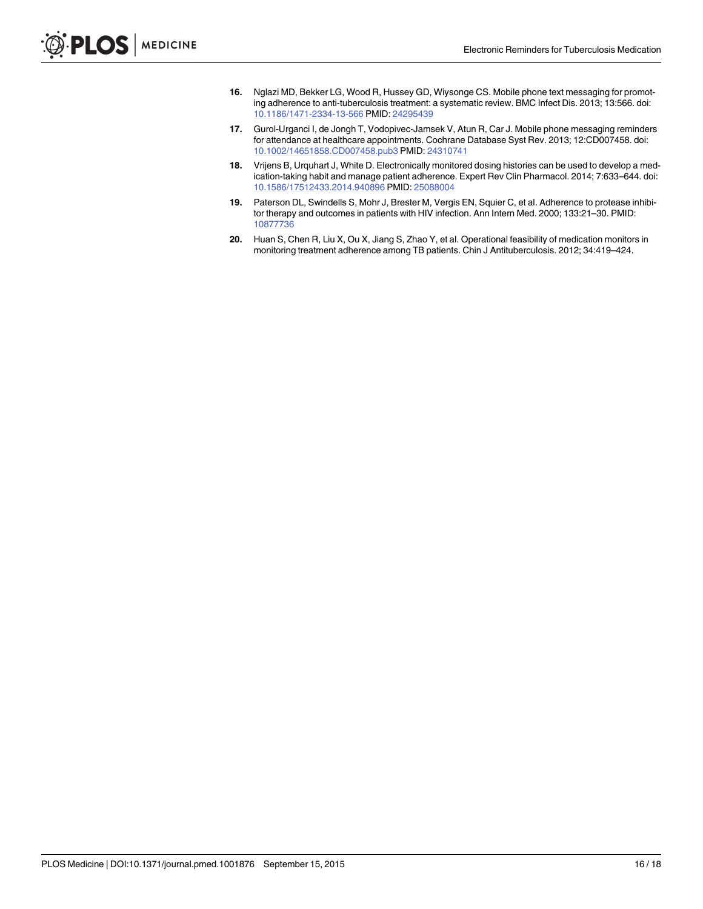- <span id="page-15-0"></span>[16.](#page-9-0) Nglazi MD, Bekker LG, Wood R, Hussey GD, Wiysonge CS. Mobile phone text messaging for promoting adherence to anti-tuberculosis treatment: a systematic review. BMC Infect Dis. 2013; 13:566. doi: [10.1186/1471-2334-13-566](http://dx.doi.org/10.1186/1471-2334-13-566) PMID: [24295439](http://www.ncbi.nlm.nih.gov/pubmed/24295439)
- [17.](#page-11-0) Gurol-Urganci I, de Jongh T, Vodopivec-Jamsek V, Atun R, Car J. Mobile phone messaging reminders for attendance at healthcare appointments. Cochrane Database Syst Rev. 2013; 12:CD007458. doi: [10.1002/14651858.CD007458.pub3](http://dx.doi.org/10.1002/14651858.CD007458.pub3) PMID: [24310741](http://www.ncbi.nlm.nih.gov/pubmed/24310741)
- [18.](#page-12-0) Vrijens B, Urquhart J, White D. Electronically monitored dosing histories can be used to develop a medication-taking habit and manage patient adherence. Expert Rev Clin Pharmacol. 2014; 7:633–644. doi: [10.1586/17512433.2014.940896](http://dx.doi.org/10.1586/17512433.2014.940896) PMID: [25088004](http://www.ncbi.nlm.nih.gov/pubmed/25088004)
- [19.](#page-12-0) Paterson DL, Swindells S, Mohr J, Brester M, Vergis EN, Squier C, et al. Adherence to protease inhibitor therapy and outcomes in patients with HIV infection. Ann Intern Med. 2000; 133:21–30. PMID: [10877736](http://www.ncbi.nlm.nih.gov/pubmed/10877736)
- [20.](#page-12-0) Huan S, Chen R, Liu X, Ou X, Jiang S, Zhao Y, et al. Operational feasibility of medication monitors in monitoring treatment adherence among TB patients. Chin J Antituberculosis. 2012; 34:419–424.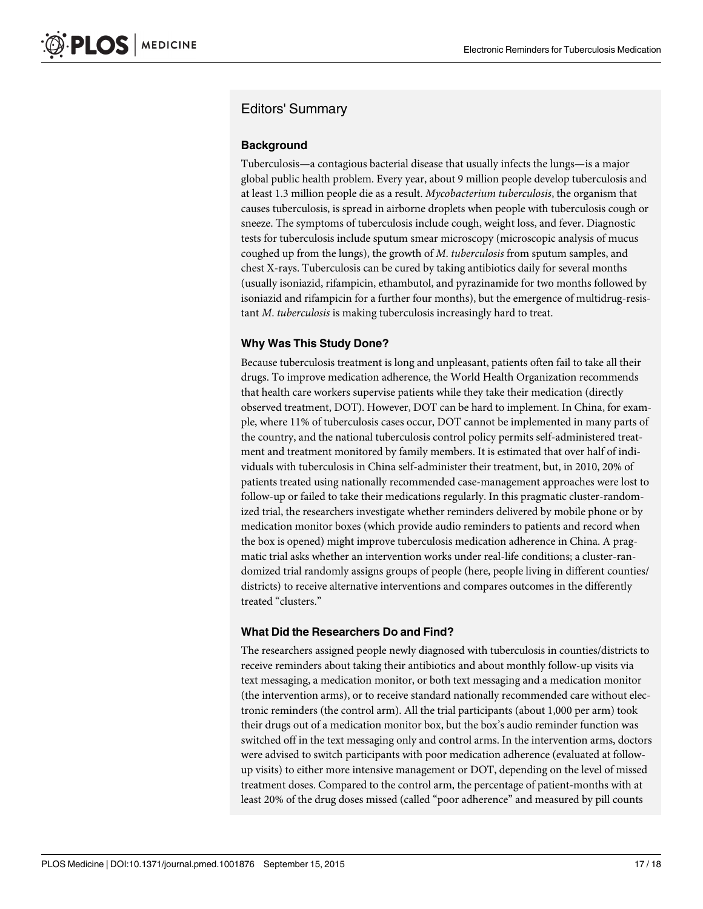### Editors' Summary

#### **Background**

Tuberculosis—a contagious bacterial disease that usually infects the lungs—is a major global public health problem. Every year, about 9 million people develop tuberculosis and at least 1.3 million people die as a result. Mycobacterium tuberculosis, the organism that causes tuberculosis, is spread in airborne droplets when people with tuberculosis cough or sneeze. The symptoms of tuberculosis include cough, weight loss, and fever. Diagnostic tests for tuberculosis include sputum smear microscopy (microscopic analysis of mucus coughed up from the lungs), the growth of M. tuberculosis from sputum samples, and chest X-rays. Tuberculosis can be cured by taking antibiotics daily for several months (usually isoniazid, rifampicin, ethambutol, and pyrazinamide for two months followed by isoniazid and rifampicin for a further four months), but the emergence of multidrug-resistant M. tuberculosis is making tuberculosis increasingly hard to treat.

#### Why Was This Study Done?

Because tuberculosis treatment is long and unpleasant, patients often fail to take all their drugs. To improve medication adherence, the World Health Organization recommends that health care workers supervise patients while they take their medication (directly observed treatment, DOT). However, DOT can be hard to implement. In China, for example, where 11% of tuberculosis cases occur, DOT cannot be implemented in many parts of the country, and the national tuberculosis control policy permits self-administered treatment and treatment monitored by family members. It is estimated that over half of individuals with tuberculosis in China self-administer their treatment, but, in 2010, 20% of patients treated using nationally recommended case-management approaches were lost to follow-up or failed to take their medications regularly. In this pragmatic cluster-randomized trial, the researchers investigate whether reminders delivered by mobile phone or by medication monitor boxes (which provide audio reminders to patients and record when the box is opened) might improve tuberculosis medication adherence in China. A pragmatic trial asks whether an intervention works under real-life conditions; a cluster-randomized trial randomly assigns groups of people (here, people living in different counties/ districts) to receive alternative interventions and compares outcomes in the differently treated "clusters."

#### What Did the Researchers Do and Find?

The researchers assigned people newly diagnosed with tuberculosis in counties/districts to receive reminders about taking their antibiotics and about monthly follow-up visits via text messaging, a medication monitor, or both text messaging and a medication monitor (the intervention arms), or to receive standard nationally recommended care without electronic reminders (the control arm). All the trial participants (about 1,000 per arm) took their drugs out of a medication monitor box, but the box's audio reminder function was switched off in the text messaging only and control arms. In the intervention arms, doctors were advised to switch participants with poor medication adherence (evaluated at followup visits) to either more intensive management or DOT, depending on the level of missed treatment doses. Compared to the control arm, the percentage of patient-months with at least 20% of the drug doses missed (called "poor adherence" and measured by pill counts